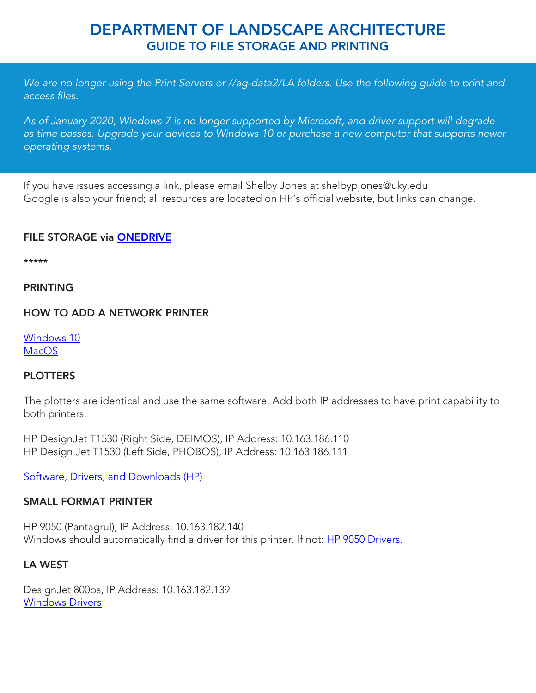# DEPARTMENT OF LANDSCAPE ARCHITECTURE GUIDE TO FILE STORAGE AND PRINTING

*We are no longer using the Print Servers or //ag-data2/LA folders. Use the following guide to print and access files.*

*As of January 2020, Windows 7 is no longer supported by Microsoft, and driver support will degrade*  as time passes. Upgrade your devices to Windows 10 or purchase a new computer that supports newer *operating systems.*

[If you have issues accessing a link, please email Shelby Jones at shelbypjones@uky.edu](mailto:shelbypjones@uky.edu) Google is also your friend; all resources are located on HP's official website, but links can change.

### FILE STORAGE via [ONEDRIVE](https://luky-my.sharepoint.com/personal/spjo222_uky_edu/Documents/LA%20Stuff/OneDrive%20Guide%20for%20LA%20Students.pdf?originalPath=aHR0cHM6Ly9sdWt5LW15LnNoYXJlcG9pbnQuY29tLzpiOi9nL3BlcnNvbmFsL3Nwam8yMjJfdWt5X2VkdS9FU2YzYzM0NzJweEl2SWJYS1pPcVI2TUJCeHVVTVkya2w0emJrMmgxb21aUGpRP3J0aW1lPUoxZzNqdEJ1MkVn)

\*\*\*\*\*

#### PRINTING

#### HOW TO ADD A NETWORK PRINTER

[Windows 10](https://forums.tomshardware.com/faq/how-to-add-a-printer-to-windows-10.2373279/) **[MacOS](https://support.apple.com/guide/mac-help/add-a-printer-on-mac-mh14004/mac)** 

#### **PLOTTERS**

The plotters are identical and use the same software. Add both IP addresses to have print capability to both printers.

HP DesignJet T1530 (Right Side, DEIMOS), IP Address: 10.163.186.110 HP Design Jet T1530 (Left Side, PHOBOS), IP Address: 10.163.186.111

[Software, Drivers, and Downloads \(HP\)](https://support.hp.com/us-en/product/hp-designjet-t1530-printer-series/8261606)

#### SMALL FORMAT PRINTER

HP 9050 (Pantagrul), IP Address: 10.163.182.140 Windows should automatically find a driver for this printer. If not: [HP 9050 Drivers.](https://support.hp.com/us-en/product/hp-laserjet-9050-printer-series/410000)

## LA WEST

DesignJet 800ps, IP Address: 10.163.182.139 [Windows Drivers](https://support.hp.com/us-en/drivers/selfservice/hp-designjet-800-printer-series/25302/model/377958)